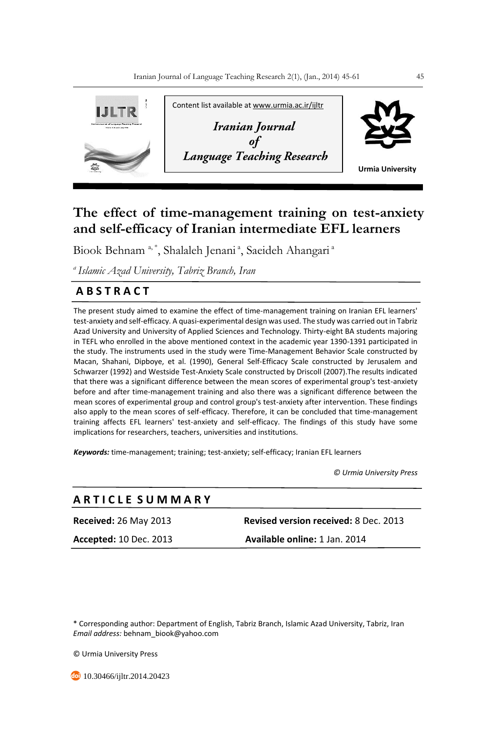

# **The effect of time-management training on test-anxiety and self-efficacy of Iranian intermediate EFL learners**

Biook Behnam <sup>a, \*</sup>, Shalaleh Jenani <sup>a</sup>, Saeideh Ahangari <sup>a</sup>

*<sup>a</sup>Islamic Azad University, Tabriz Branch, Iran*

## **A B S T R A C T**

The present study aimed to examine the effect of time-management training on Iranian EFL learners' test-anxiety and self-efficacy. A quasi-experimental design was used. The study was carried out in Tabriz Azad University and University of Applied Sciences and Technology. Thirty-eight BA students majoring in TEFL who enrolled in the above mentioned context in the academic year 1390-1391 participated in the study. The instruments used in the study were Time-Management Behavior Scale constructed by Macan, Shahani, Dipboye, et al. (1990), General Self-Efficacy Scale constructed by Jerusalem and Schwarzer (1992) and Westside Test-Anxiety Scale constructed by Driscoll (2007).The results indicated that there was a significant difference between the mean scores of experimental group's test-anxiety before and after time-management training and also there was a significant difference between the mean scores of experimental group and control group's test-anxiety after intervention. These findings also apply to the mean scores of self-efficacy. Therefore, it can be concluded that time-management training affects EFL learners' test-anxiety and self-efficacy. The findings of this study have some implications for researchers, teachers, universities and institutions.

*Keywords:* time-management; training; test-anxiety; self-efficacy; Iranian EFL learners

 *© Urmia University Press*

## **A R T I C L E S U M M A R Y**

**Received:** 26 May 2013 **Revised version received:** 8 Dec. 2013 **Accepted:** 10 Dec. 2013 **Available online:** 1 Jan. 2014

\* Corresponding author: Department of English, Tabriz Branch, Islamic Azad University, Tabriz, Iran *Email address:* behnam\_biook@yahoo.com

© Urmia University Press

**b** 10.30466/ijltr.2014.20423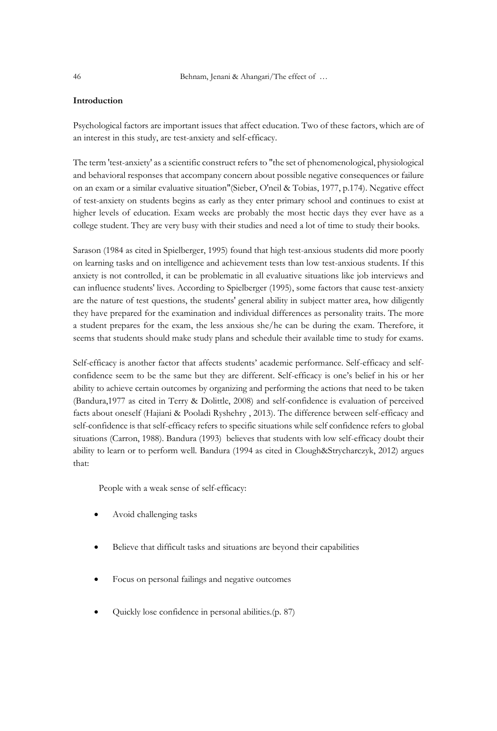## **Introduction**

Psychological factors are important issues that affect education. Two of these factors, which are of an interest in this study, are test-anxiety and self-efficacy.

The term 'test-anxiety' as a scientific construct refers to "the set of phenomenological, physiological and behavioral responses that accompany concern about possible negative consequences or failure on an exam or a similar evaluative situation"(Sieber, O'neil & Tobias, 1977, p.174). Negative effect of test-anxiety on students begins as early as they enter primary school and continues to exist at higher levels of education. Exam weeks are probably the most hectic days they ever have as a college student. They are very busy with their studies and need a lot of time to study their books.

Sarason (1984 as cited in Spielberger, 1995) found that high test-anxious students did more poorly on learning tasks and on intelligence and achievement tests than low test-anxious students. If this anxiety is not controlled, it can be problematic in all evaluative situations like job interviews and can influence students' lives. According to Spielberger (1995), some factors that cause test-anxiety are the nature of test questions, the students' general ability in subject matter area, how diligently they have prepared for the examination and individual differences as personality traits. The more a student prepares for the exam, the less anxious she/he can be during the exam. Therefore, it seems that students should make study plans and schedule their available time to study for exams.

Self-efficacy is another factor that affects students' academic performance. Self-efficacy and selfconfidence seem to be the same but they are different. Self-efficacy is one's belief in his or her ability to achieve certain outcomes by organizing and performing the actions that need to be taken (Bandura,1977 as cited in Terry & Dolittle, 2008) and self-confidence is evaluation of perceived facts about oneself (Hajiani & Pooladi Ryshehry , 2013). The difference between self-efficacy and self-confidence is that self-efficacy refers to specific situations while self confidence refers to global situations (Carron, 1988). Bandura (1993) believes that students with low self-efficacy doubt their ability to learn or to perform well. Bandura (1994 as cited in Clough&Strycharczyk, 2012) argues that:

People with a weak sense of self-efficacy:

- Avoid challenging tasks
- Believe that difficult tasks and situations are beyond their capabilities
- Focus on personal failings and negative outcomes
- Quickly lose confidence in personal abilities.(p. 87)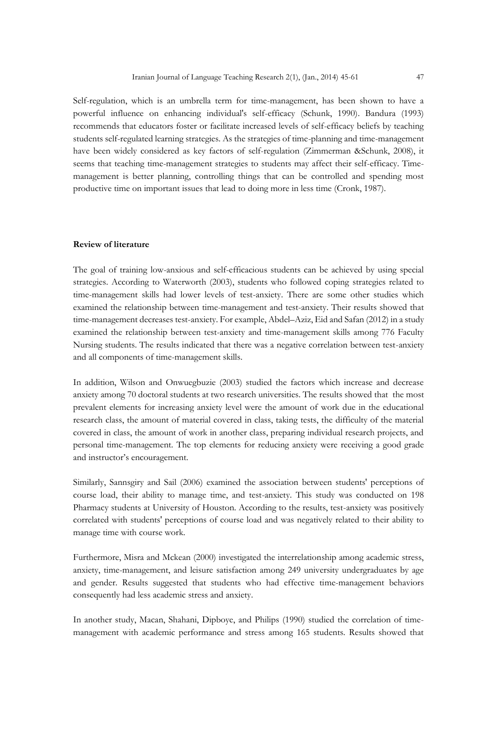Self-regulation, which is an umbrella term for time-management, has been shown to have a powerful influence on enhancing individual's self-efficacy (Schunk, 1990). Bandura (1993) recommends that educators foster or facilitate increased levels of self-efficacy beliefs by teaching students self-regulated learning strategies. As the strategies of time-planning and time-management have been widely considered as key factors of self-regulation (Zimmerman &Schunk, 2008), it seems that teaching time-management strategies to students may affect their self-efficacy. Timemanagement is better planning, controlling things that can be controlled and spending most productive time on important issues that lead to doing more in less time (Cronk, 1987).

#### **Review of literature**

The goal of training low-anxious and self-efficacious students can be achieved by using special strategies. According to Waterworth (2003), students who followed coping strategies related to time-management skills had lower levels of test-anxiety. There are some other studies which examined the relationship between time-management and test-anxiety. Their results showed that time-management decreases test-anxiety. For example, Abdel–Aziz, Eid and Safan (2012) in a study examined the relationship between test-anxiety and time-management skills among 776 Faculty Nursing students. The results indicated that there was a negative correlation between test-anxiety and all components of time-management skills.

In addition, Wilson and Onwuegbuzie (2003) studied the factors which increase and decrease anxiety among 70 doctoral students at two research universities. The results showed that the most prevalent elements for increasing anxiety level were the amount of work due in the educational research class, the amount of material covered in class, taking tests, the difficulty of the material covered in class, the amount of work in another class, preparing individual research projects, and personal time-management. The top elements for reducing anxiety were receiving a good grade and instructor's encouragement.

Similarly, Sannsgiry and Sail (2006) examined the association between students' perceptions of course load, their ability to manage time, and test-anxiety. This study was conducted on 198 Pharmacy students at University of Houston. According to the results, test-anxiety was positively correlated with students' perceptions of course load and was negatively related to their ability to manage time with course work.

Furthermore, Misra and Mckean (2000) investigated the interrelationship among academic stress, anxiety, time-management, and leisure satisfaction among 249 university undergraduates by age and gender. Results suggested that students who had effective time-management behaviors consequently had less academic stress and anxiety.

In another study, Macan, Shahani, Dipboye, and Philips (1990) studied the correlation of timemanagement with academic performance and stress among 165 students. Results showed that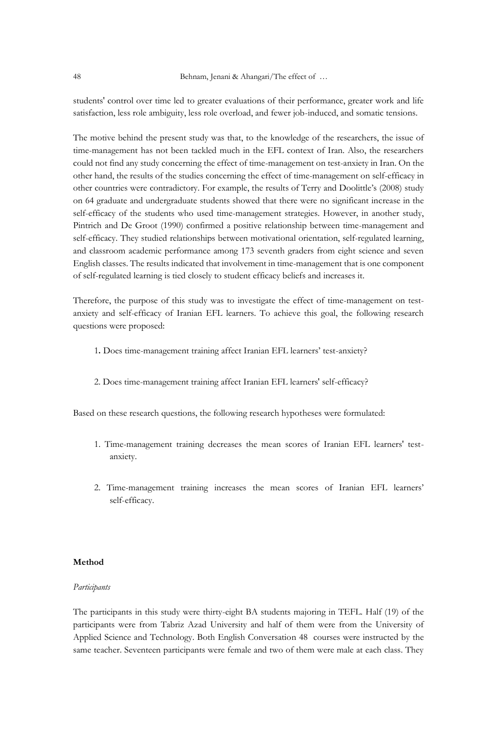students' control over time led to greater evaluations of their performance, greater work and life satisfaction, less role ambiguity, less role overload, and fewer job-induced, and somatic tensions.

The motive behind the present study was that, to the knowledge of the researchers, the issue of time-management has not been tackled much in the EFL context of Iran. Also, the researchers could not find any study concerning the effect of time-management on test-anxiety in Iran. On the other hand, the results of the studies concerning the effect of time-management on self-efficacy in other countries were contradictory. For example, the results of Terry and Doolittle's (2008) study on 64 graduate and undergraduate students showed that there were no significant increase in the self-efficacy of the students who used time-management strategies. However, in another study, Pintrich and De Groot (1990) confirmed a positive relationship between time-management and self-efficacy. They studied relationships between motivational orientation, self-regulated learning, and classroom academic performance among 173 seventh graders from eight science and seven English classes. The results indicated that involvement in time-management that is one component of self-regulated learning is tied closely to student efficacy beliefs and increases it.

Therefore, the purpose of this study was to investigate the effect of time-management on testanxiety and self-efficacy of Iranian EFL learners. To achieve this goal, the following research questions were proposed:

- 1**.** Does time-management training affect Iranian EFL learners' test-anxiety?
- 2. Does time-management training affect Iranian EFL learners' self-efficacy?

Based on these research questions, the following research hypotheses were formulated:

- 1. Time-management training decreases the mean scores of Iranian EFL learners' testanxiety.
- 2. Time-management training increases the mean scores of Iranian EFL learners' self-efficacy.

#### **Method**

#### *Participants*

The participants in this study were thirty-eight BA students majoring in TEFL. Half (19) of the participants were from Tabriz Azad University and half of them were from the University of Applied Science and Technology. Both English Conversation 48 courses were instructed by the same teacher. Seventeen participants were female and two of them were male at each class. They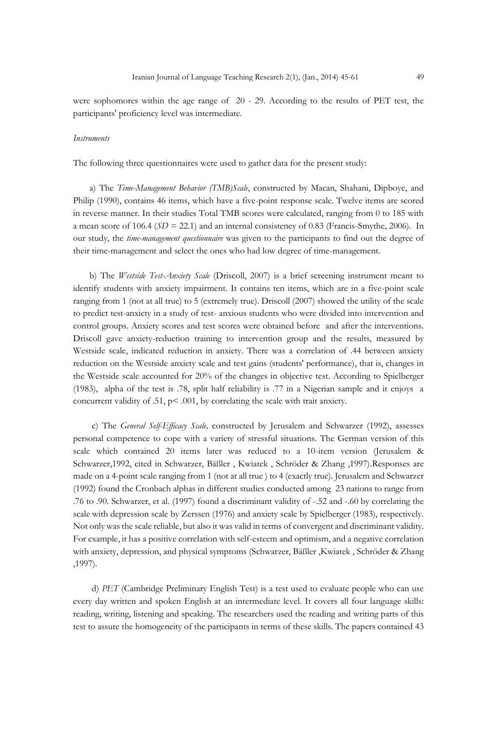were sophomores within the age range of 20 - 29. According to the results of PET test, the participants' proficiency level was intermediate.

#### *Instruments*

The following three questionnaires were used to gather data for the present study:

 a) The *Time-Management Behavior (TMB)Scale*, constructed by Macan, Shahani, Dipboye, and Philip (1990), contains 46 items, which have a five-point response scale. Twelve items are scored in reverse manner. In their studies Total TMB scores were calculated, ranging from 0 to 185 with a mean score of 106.4 (*SD* = 22.1) and an internal consistency of 0.83 (Francis-Smythe, 2006).In our study, the *time-management questionnaire* was given to the participants to find out the degree of their time-management and select the ones who had low degree of time-management.

 b) The *Westside Test-Anxiety Scale* (Driscoll, 2007) is a brief screening instrument meant to identify students with anxiety impairment. It contains ten items, which are in a five-point scale ranging from 1 (not at all true) to 5 (extremely true). Driscoll (2007) showed the utility of the scale to predict test-anxiety in a study of test- anxious students who were divided into intervention and control groups. Anxiety scores and test scores were obtained before and after the interventions. Driscoll gave anxiety-reduction training to intervention group and the results, measured by Westside scale, indicated reduction in anxiety. There was a correlation of .44 between anxiety reduction on the Westside anxiety scale and test gains (students' performance), that is, changes in the Westside scale accounted for 20% of the changes in objective test. According to Spielberger (1983), alpha of the test is .78, split half reliability is .77 in a Nigerian sample and it enjoys a concurrent validity of .51, p< .001, by correlating the scale with trait anxiety.

 c) The *General Self-Efficacy Scale,* constructed by Jerusalem and Schwarzer (1992), assesses personal competence to cope with a variety of stressful situations. The German version of this scale which contained 20 items later was reduced to a 10-item version (Jerusalem & Schwarzer,1992, cited in Schwarzer, Bäßler , Kwiatek , Schröder & Zhang ,1997).Responses are made on a 4-point scale ranging from 1 (not at all true ) to 4 (exactly true). Jerusalem and Schwarzer (1992) found the Cronbach alphas in different studies conducted among 23 nations to range from .76 to .90. Schwarzer, et al. (1997) found a discriminant validity of -.52 and -.60 by correlating the scale with depression scale by Zerssen (1976) and anxiety scale by Spielberger (1983), respectively. Not only wasthe scale reliable, but also it was valid in terms of convergent and discriminant validity. For example, it has a positive correlation with self-esteem and optimism, and a negative correlation with anxiety, depression, and physical symptoms (Schwarzer, Bäßler ,Kwiatek , Schröder & Zhang ,1997).

d) *PET* (Cambridge Preliminary English Test) is a test used to evaluate people who can use every day written and spoken English at an intermediate level. It covers all four language skills: reading, writing, listening and speaking. The researchers used the reading and writing parts of this test to assure the homogeneity of the participants in terms of these skills. The papers contained 43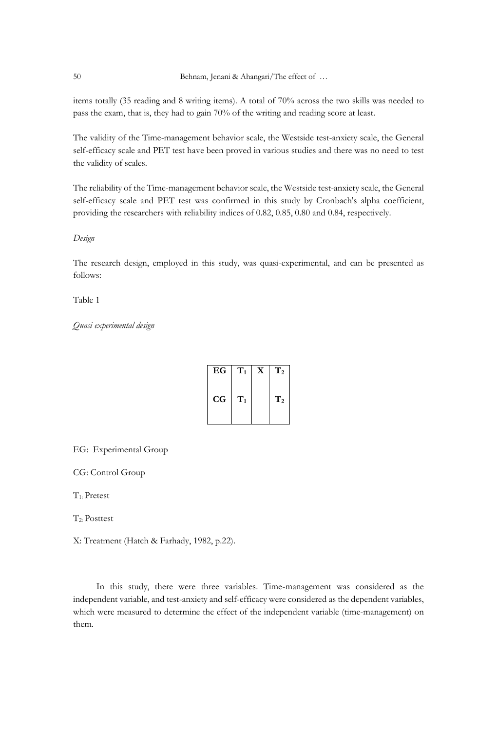items totally (35 reading and 8 writing items). A total of 70% across the two skills was needed to pass the exam, that is, they had to gain 70% of the writing and reading score at least.

The validity of the Time-management behavior scale, the Westside test-anxiety scale, the General self-efficacy scale and PET test have been proved in various studies and there was no need to test the validity of scales.

The reliability of the Time-management behavior scale, the Westside test-anxiety scale, the General self-efficacy scale and PET test was confirmed in this study by Cronbach's alpha coefficient, providing the researchers with reliability indices of 0.82, 0.85, 0.80 and 0.84, respectively.

*Design*

The research design, employed in this study, was quasi-experimental, and can be presented as follows:

Table 1

## *Quasi experimental design*

| EG          | $\mathbf{T}_1$ | $\mathbf{x}$ | $\bf T_2$      |
|-------------|----------------|--------------|----------------|
| $_{\rm CG}$ | $\mathrm{T}_1$ |              | T <sub>2</sub> |

EG: Experimental Group

CG: Control Group

T1: Pretest

T<sub>2</sub>. Posttest

X: Treatment (Hatch & Farhady, 1982, p.22).

 In this study, there were three variables. Time-management was considered as the independent variable, and test-anxiety and self-efficacy were considered as the dependent variables, which were measured to determine the effect of the independent variable (time-management) on them.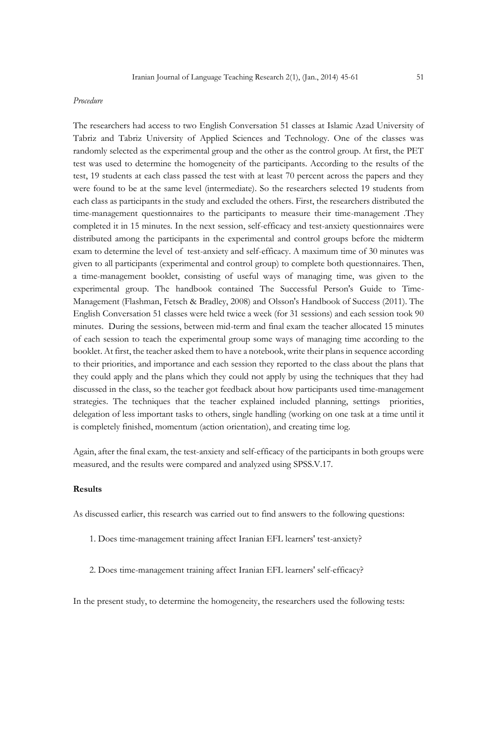#### *Procedure*

The researchers had access to two English Conversation 51 classes at Islamic Azad University of Tabriz and Tabriz University of Applied Sciences and Technology. One of the classes was randomly selected as the experimental group and the other as the control group. At first, the PET test was used to determine the homogeneity of the participants. According to the results of the test, 19 students at each class passed the test with at least 70 percent across the papers and they were found to be at the same level (intermediate). So the researchers selected 19 students from each class as participants in the study and excluded the others. First, the researchers distributed the time-management questionnaires to the participants to measure their time-management .They completed it in 15 minutes. In the next session, self-efficacy and test-anxiety questionnaires were distributed among the participants in the experimental and control groups before the midterm exam to determine the level of test-anxiety and self-efficacy. A maximum time of 30 minutes was given to all participants (experimental and control group) to complete both questionnaires. Then, a time-management booklet, consisting of useful ways of managing time, was given to the experimental group. The handbook contained The Successful Person's Guide to Time-Management (Flashman, Fetsch & Bradley, 2008) and Olsson's Handbook of Success (2011). The English Conversation 51 classes were held twice a week (for 31 sessions) and each session took 90 minutes. During the sessions, between mid-term and final exam the teacher allocated 15 minutes of each session to teach the experimental group some ways of managing time according to the booklet. At first, the teacher asked them to have a notebook, write their plans in sequence according to their priorities, and importance and each session they reported to the class about the plans that they could apply and the plans which they could not apply by using the techniques that they had discussed in the class, so the teacher got feedback about how participants used time-management strategies. The techniques that the teacher explained included planning, settings priorities, delegation of less important tasks to others, single handling (working on one task at a time until it is completely finished, momentum (action orientation), and creating time log.

Again, after the final exam, the test-anxiety and self-efficacy of the participants in both groups were measured, and the results were compared and analyzed using SPSS.V.17.

#### **Results**

As discussed earlier, this research was carried out to find answers to the following questions:

- 1. Does time-management training affect Iranian EFL learners' test-anxiety?
- 2. Does time-management training affect Iranian EFL learners' self-efficacy?

In the present study, to determine the homogeneity, the researchers used the following tests: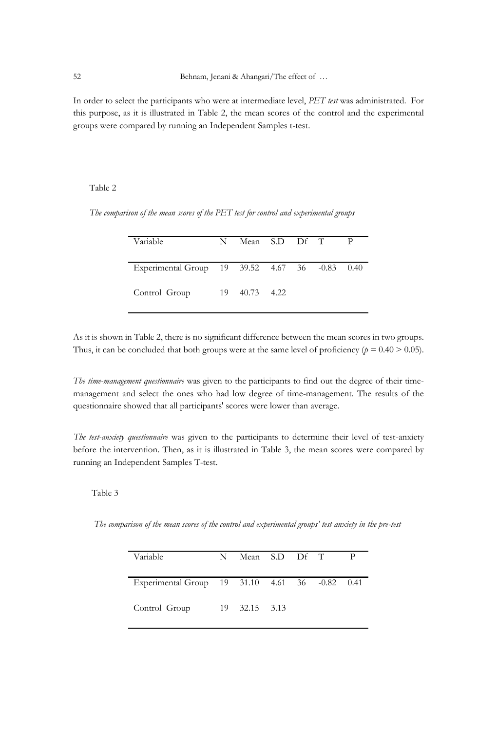In order to select the participants who were at intermediate level, *PET test* was administrated. For this purpose, as it is illustrated in Table 2, the mean scores of the control and the experimental groups were compared by running an Independent Samples t-test.

#### Table 2

| Variable                                       | N | Mean S.D Df T |  | $\mathbf{p}$ |
|------------------------------------------------|---|---------------|--|--------------|
| Experimental Group 19 39.52 4.67 36 -0.83 0.40 |   |               |  |              |
| Control Group                                  |   | 19 40.73 4.22 |  |              |

 *The comparison of the mean scores of the PET test for control and experimental groups*

As it is shown in Table 2, there is no significant difference between the mean scores in two groups. Thus, it can be concluded that both groups were at the same level of proficiency  $(p = 0.40 > 0.05)$ .

*The time-management questionnaire* was given to the participants to find out the degree of their timemanagement and select the ones who had low degree of time-management. The results of the questionnaire showed that all participants' scores were lower than average.

*The test-anxiety questionnaire* was given to the participants to determine their level of test-anxiety before the intervention. Then, as it is illustrated in Table 3, the mean scores were compared by running an Independent Samples T-test.

## Table 3

*The comparison of the mean scores of the control and experimental groups' test anxiety in the pre-test*

| Variable                                       | N Mean S.D Df T |  |  |
|------------------------------------------------|-----------------|--|--|
| Experimental Group 19 31.10 4.61 36 -0.82 0.41 |                 |  |  |
| Control Group                                  | 19 32.15 3.13   |  |  |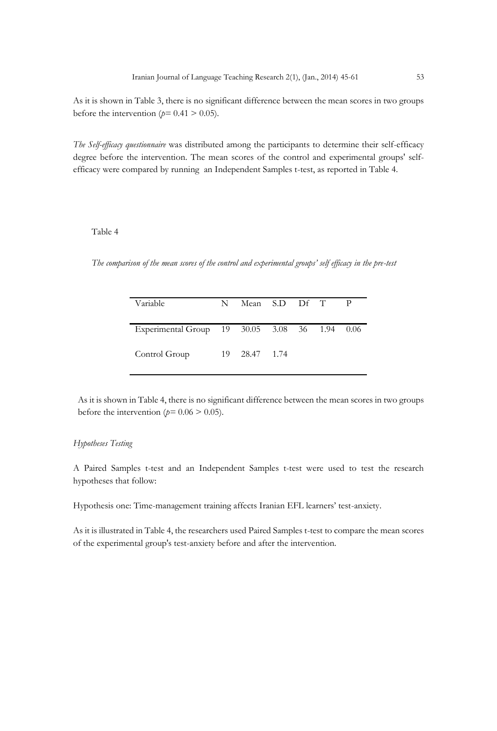As it is shown in Table 3, there is no significant difference between the mean scores in two groups before the intervention ( $p=0.41 > 0.05$ ).

*The Self-efficacy questionnaire* was distributed among the participants to determine their self-efficacy degree before the intervention. The mean scores of the control and experimental groups' selfefficacy were compared by running an Independent Samples t-test, as reported in Table 4.

## Table 4

*The comparison of the mean scores of the control and experimental groups' self efficacy in the pre-test* 

| Variable                                      | N | Mean S.D Df T |  |  |
|-----------------------------------------------|---|---------------|--|--|
| Experimental Group 19 30.05 3.08 36 1.94 0.06 |   |               |  |  |
| Control Group                                 |   | 19 28.47 1.74 |  |  |

As it is shown in Table 4, there is no significant difference between the mean scores in two groups before the intervention ( $p=0.06 > 0.05$ ).

#### *Hypotheses Testing*

A Paired Samples t-test and an Independent Samples t-test were used to test the research hypotheses that follow:

Hypothesis one: Time-management training affects Iranian EFL learners' test-anxiety.

As it is illustrated in Table 4, the researchers used Paired Samples t-test to compare the mean scores of the experimental group's test-anxiety before and after the intervention.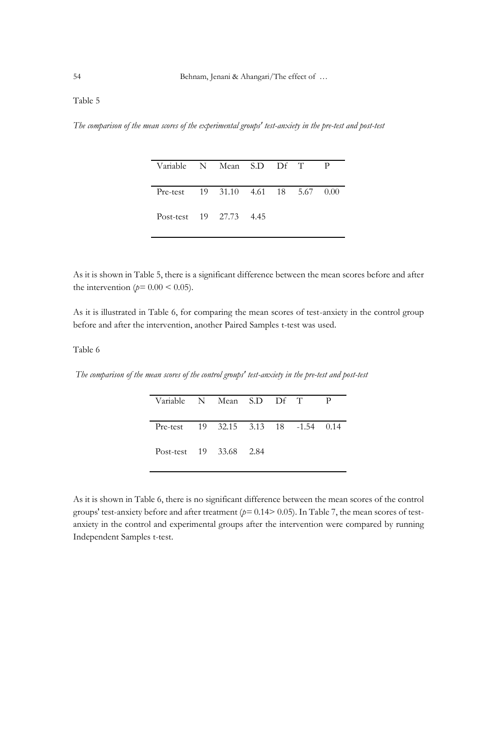## Table 5

*The comparison of the mean scores of the experimental groups' test-anxiety in the pre-test and post-test* 

| Variable N Mean S.D Df T                        |  |  | $\mathbf{p}$ |
|-------------------------------------------------|--|--|--------------|
| Pre-test $19$ $31.10$ $4.61$ $18$ $5.67$ $0.00$ |  |  |              |
| Post-test 19 27.73 4.45                         |  |  |              |

As it is shown in Table 5, there is a significant difference between the mean scores before and after the intervention ( $p=0.00 \le 0.05$ ).

As it is illustrated in Table 6, for comparing the mean scores of test-anxiety in the control group before and after the intervention, another Paired Samples t-test was used.

## Table 6

*The comparison of the mean scores of the control groups' test-anxiety in the pre-test and post-test*

| Variable N Mean S.D Df T             |  |  | - p |
|--------------------------------------|--|--|-----|
| Pre-test 19 32.15 3.13 18 -1.54 0.14 |  |  |     |
| Post-test 19 33.68 2.84              |  |  |     |

As it is shown in Table 6, there is no significant difference between the mean scores of the control groups' test-anxiety before and after treatment (*p=* 0.14> 0.05). In Table 7, the mean scores of testanxiety in the control and experimental groups after the intervention were compared by running Independent Samples t-test.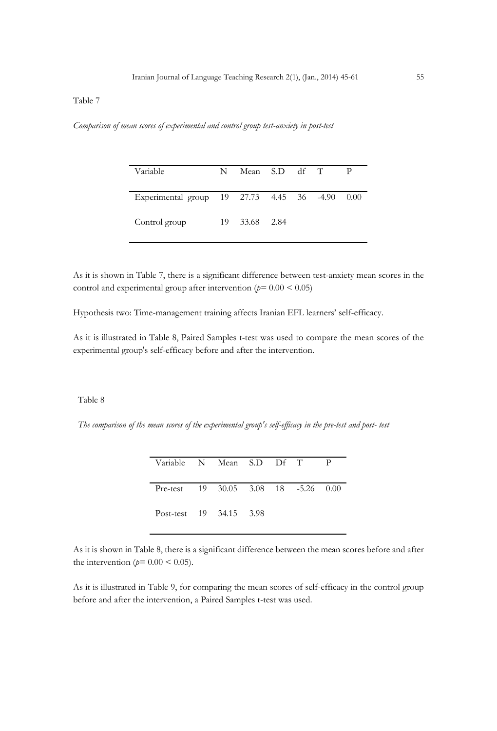## Table 7

*Comparison of mean scores of experimental and control group test-anxiety in post-test*

| Variable                                       | N. | Mean S.D df T |  |  |
|------------------------------------------------|----|---------------|--|--|
| Experimental group 19 27.73 4.45 36 -4.90 0.00 |    |               |  |  |
| Control group                                  |    | 19 33.68 2.84 |  |  |

As it is shown in Table 7, there is a significant difference between test-anxiety mean scores in the control and experimental group after intervention (*p=* 0.00 < 0.05)

Hypothesis two: Time-management training affects Iranian EFL learners' self-efficacy.

As it is illustrated in Table 8, Paired Samples t-test was used to compare the mean scores of the experimental group's self-efficacy before and after the intervention.

## Table 8

*The comparison of the mean scores of the experimental group's self-efficacy in the pre-test and post- test* 

| Variable N Mean S.D Df T                                        |  |  |  |
|-----------------------------------------------------------------|--|--|--|
| Pre-test $19\quad 30.05\quad 3.08\quad 18\quad -5.26\quad 0.00$ |  |  |  |
| Post-test 19 34.15 3.98                                         |  |  |  |

As it is shown in Table 8, there is a significant difference between the mean scores before and after the intervention ( $p=0.00 \le 0.05$ ).

As it is illustrated in Table 9, for comparing the mean scores of self-efficacy in the control group before and after the intervention, a Paired Samples t-test was used.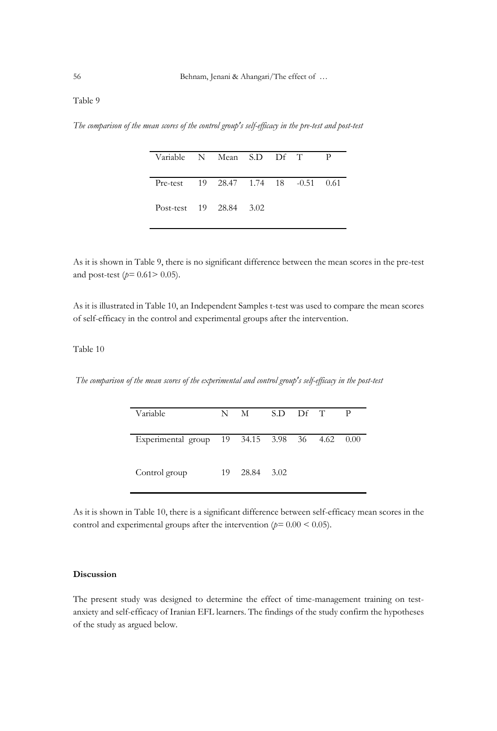## Table 9

*The comparison of the mean scores of the control group's self-efficacy in the pre-test and post-test*

| Variable N Mean S.D Df T                         |  |  | - P |
|--------------------------------------------------|--|--|-----|
| Pre-test $19$ $28.47$ $1.74$ $18$ $-0.51$ $0.61$ |  |  |     |
| Post-test 19 28.84 3.02                          |  |  |     |

As it is shown in Table 9, there is no significant difference between the mean scores in the pre-test and post-test (*p=* 0.61> 0.05).

As it is illustrated in Table 10, an Independent Samples t-test was used to compare the mean scores of self-efficacy in the control and experimental groups after the intervention.

## Table 10

*The comparison of the mean scores of the experimental and control group's self-efficacy in the post-test*

| Variable                                      |    | N M        | S.D Df T |  | - P |
|-----------------------------------------------|----|------------|----------|--|-----|
|                                               |    |            |          |  |     |
| Experimental group 19 34.15 3.98 36 4.62 0.00 |    |            |          |  |     |
| Control group                                 | 19 | 28.84 3.02 |          |  |     |

As it is shown in Table 10, there is a significant difference between self-efficacy mean scores in the control and experimental groups after the intervention  $(p=0.00 < 0.05)$ .

#### **Discussion**

The present study was designed to determine the effect of time-management training on testanxiety and self-efficacy of Iranian EFL learners. The findings of the study confirm the hypotheses of the study as argued below.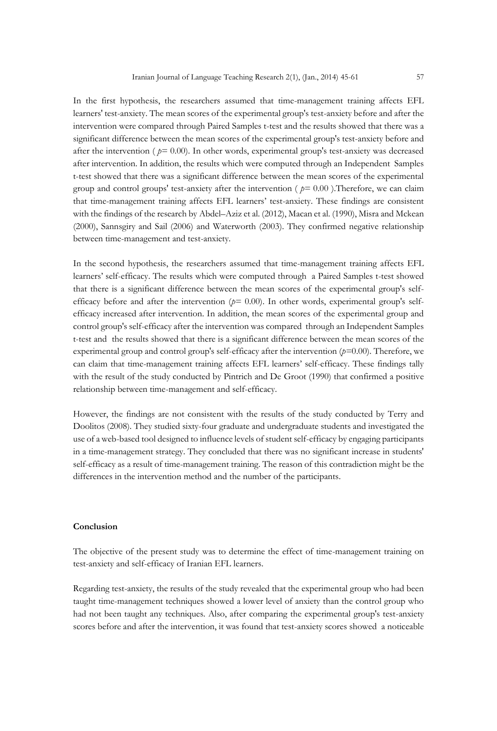In the first hypothesis, the researchers assumed that time-management training affects EFL learners' test-anxiety. The mean scores of the experimental group's test-anxiety before and after the intervention were compared through Paired Samples t-test and the results showed that there was a significant difference between the mean scores of the experimental group's test-anxiety before and after the intervention ( *p=* 0.00). In other words, experimental group's test-anxiety was decreased after intervention. In addition, the results which were computed through an Independent Samples t-test showed that there was a significant difference between the mean scores of the experimental group and control groups' test-anxiety after the intervention ( $p=0.00$ ). Therefore, we can claim that time-management training affects EFL learners' test-anxiety. These findings are consistent with the findings of the research by Abdel–Aziz et al. (2012), Macan et al. (1990), Misra and Mckean (2000), Sannsgiry and Sail (2006) and Waterworth (2003). They confirmed negative relationship between time-management and test-anxiety.

In the second hypothesis, the researchers assumed that time-management training affects EFL learners' self-efficacy. The results which were computed through a Paired Samples t-test showed that there is a significant difference between the mean scores of the experimental group's selfefficacy before and after the intervention (*p=* 0.00). In other words, experimental group's selfefficacy increased after intervention. In addition, the mean scores of the experimental group and control group's self-efficacy after the intervention was compared through an Independent Samples t-test and the results showed that there is a significant difference between the mean scores of the experimental group and control group's self-efficacy after the intervention (*p=*0.00). Therefore, we can claim that time-management training affects EFL learners' self-efficacy. These findings tally with the result of the study conducted by Pintrich and De Groot (1990) that confirmed a positive relationship between time-management and self-efficacy.

However, the findings are not consistent with the results of the study conducted by Terry and Doolitos (2008). They studied sixty-four graduate and undergraduate students and investigated the use of a web-based tool designed to influence levels of student self-efficacy by engaging participants in a time-management strategy. They concluded that there was no significant increase in students' self-efficacy as a result of time-management training. The reason of this contradiction might be the differences in the intervention method and the number of the participants.

#### **Conclusion**

The objective of the present study was to determine the effect of time-management training on test-anxiety and self-efficacy of Iranian EFL learners.

Regarding test-anxiety, the results of the study revealed that the experimental group who had been taught time-management techniques showed a lower level of anxiety than the control group who had not been taught any techniques. Also, after comparing the experimental group's test-anxiety scores before and after the intervention, it was found that test-anxiety scores showed a noticeable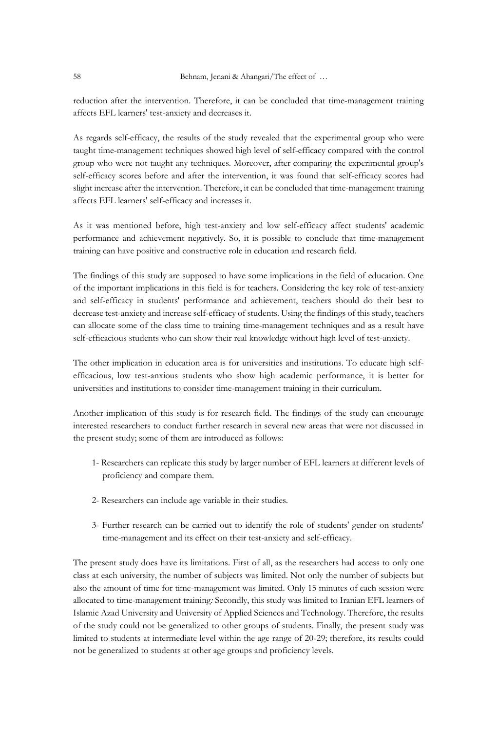reduction after the intervention. Therefore, it can be concluded that time-management training affects EFL learners' test-anxiety and decreases it.

As regards self-efficacy, the results of the study revealed that the experimental group who were taught time-management techniques showed high level of self-efficacy compared with the control group who were not taught any techniques. Moreover, after comparing the experimental group's self-efficacy scores before and after the intervention, it was found that self-efficacy scores had slight increase after the intervention. Therefore, it can be concluded that time-management training affects EFL learners' self-efficacy and increases it.

As it was mentioned before, high test-anxiety and low self-efficacy affect students' academic performance and achievement negatively. So, it is possible to conclude that time-management training can have positive and constructive role in education and research field.

The findings of this study are supposed to have some implications in the field of education. One of the important implications in this field is for teachers. Considering the key role of test-anxiety and self-efficacy in students' performance and achievement, teachers should do their best to decrease test-anxiety and increase self-efficacy of students. Using the findings of this study, teachers can allocate some of the class time to training time-management techniques and as a result have self-efficacious students who can show their real knowledge without high level of test-anxiety.

The other implication in education area is for universities and institutions. To educate high selfefficacious, low test-anxious students who show high academic performance, it is better for universities and institutions to consider time-management training in their curriculum.

Another implication of this study is for research field. The findings of the study can encourage interested researchers to conduct further research in several new areas that were not discussed in the present study; some of them are introduced as follows:

- 1- Researchers can replicate this study by larger number of EFL learners at different levels of proficiency and compare them.
- 2- Researchers can include age variable in their studies.
- 3- Further research can be carried out to identify the role of students' gender on students' time-management and its effect on their test-anxiety and self-efficacy.

The present study does have its limitations. First of all, as the researchers had access to only one class at each university, the number of subjects was limited. Not only the number of subjects but also the amount of time for time-management was limited. Only 15 minutes of each session were allocated to time-management training*:* Secondly, this study was limited to Iranian EFL learners of Islamic Azad University and University of Applied Sciences and Technology. Therefore, the results of the study could not be generalized to other groups of students. Finally, the present study was limited to students at intermediate level within the age range of 20-29; therefore, its results could not be generalized to students at other age groups and proficiency levels.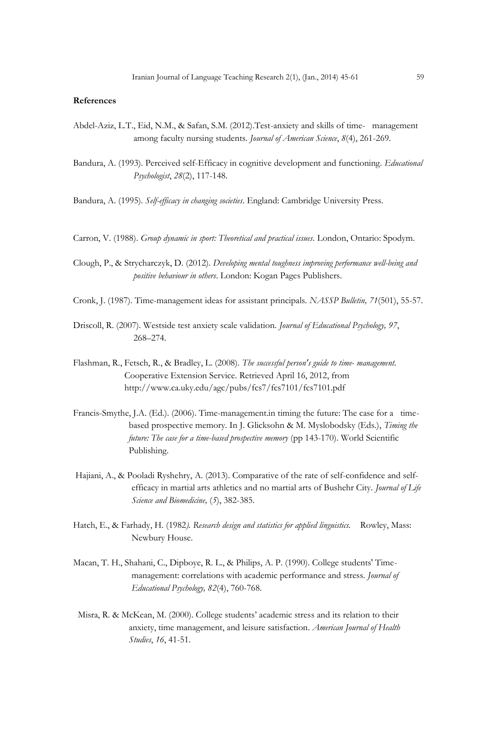#### **References**

- Abdel-Aziz, L.T., Eid, N.M., & Safan, S.M. (2012).Test-anxiety and skills of time- management among faculty nursing students. *Journal of American Science*, *8*(4), 261-269.
- Bandura, A. (1993). Perceived self-Efficacy in cognitive development and functioning*. Educational Psychologist*, *28*(2), 117-148.
- Bandura, A. (1995)*. Self-efficacy in changing societies*. England: Cambridge University Press.
- Carron, V. (1988). *Group dynamic in sport: Theoretical and practical issues.* London, Ontario: Spodym.
- Clough, P., & Strycharczyk, D. (2012). *Developing mental toughness improving performance well-being and positive behaviour in others*. London: Kogan Pages Publishers.
- Cronk, J. (1987). Time-management ideas for assistant principals*. NASSP Bulletin, 71*(501), 55-57.
- Driscoll, R. (2007). Westside test anxiety scale validation. *Journal of Educational Psychology, 97*, 268–274.
- Flashman, R., Fetsch, R., & Bradley, L. (2008). *The successful person's guide to time- management.*  Cooperative Extension Service. Retrieved April 16, 2012, from http://www.ca.uky.edu/agc/pubs/fcs7/fcs7101/fcs7101.pdf
- Francis-Smythe, J.A. (Ed.). (2006). Time-management.in timing the future: The case for a timebased prospective memory. In J. Glicksohn & M. Myslobodsky (Eds.), *Timing the future: The case for a time-based prospective memory* (pp 143-170). World Scientific Publishing.
- Hajiani, A., & Pooladi Ryshehry, A. (2013). Comparative of the rate of self-confidence and selfefficacy in martial arts athletics and no martial arts of Bushehr City. *Journal of Life Science and Biomedicine,* (*5*), 382-385.
- Hatch, E., & Farhady, H. (1982*). Research design and statistics for applied linguistics.* Rowley, Mass: Newbury House.
- Macan, T. H., Shahani, C., Dipboye, R. L., & Philips, A. P. (1990). College students' Timemanagement: correlations with academic performance and stress. *Journal of Educational Psychology, 82*(4), 760-768.
- Misra, R. & McKean, M. (2000). College students' academic stress and its relation to their anxiety, time management, and leisure satisfaction*. American Journal of Health Studies*, *16*, 41-51.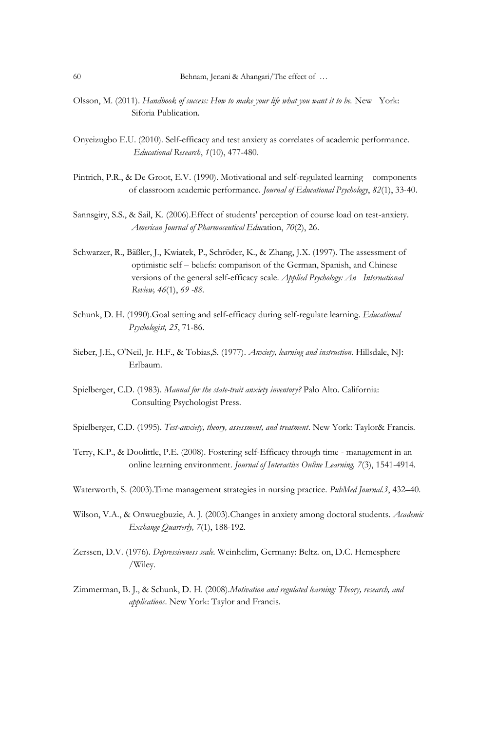- Olsson, M. (2011). *Handbook of success: How to make your life what you want it to be.* New York: Siforia Publication*.*
- Onyeizugbo E.U. (2010). Self-efficacy and test anxiety as correlates of academic performance*. Educational Research*, *1*(10), 477-480.
- Pintrich, P.R., & De Groot, E.V. (1990). Motivational and self-regulated learning components of classroom academic performance. *Journal of Educational Psychology*, *82*(1), 33-40.
- Sannsgiry, S.S., & Sail, K. (2006).Effect of students' perception of course load on test-anxiety. *American Journal of Pharmaceutical Educ*ation, *70*(2), 26.
- Schwarzer, R., Bäßler, J., Kwiatek, P., Schröder, K., & Zhang, J.X. (1997). The assessment of optimistic self – beliefs: comparison of the German, Spanish, and Chinese versions of the general self-efficacy scale. *Applied Psychology: An International Review, 46*(1), *69 -88.*
- Schunk, D. H. (1990).Goal setting and self-efficacy during self-regulate learning. *Educational Psychologist, 25*, 71-86.
- Sieber, J.E., O'Neil, Jr. H.F., & Tobias,S. (1977). *Anxiety, learning and instruction.* Hillsdale, NJ: Erlbaum.
- Spielberger, C.D. (1983). *Manual for the state-trait anxiety inventory?* Palo Alto. California: Consulting Psychologist Press.
- Spielberger, C.D. (1995). *Test-anxiety, theory, assessment, and treatment*. New York: Taylor& Francis.
- Terry, K.P., & Doolittle, P.E. (2008). Fostering self-Efficacy through time management in an online learning environment. *Journal of Interactive Online Learning, 7*(3), 1541-4914.
- Waterworth, S. (2003).Time management strategies in nursing practice. *PubMed Journal.3*, 432–40.
- Wilson, V.A., & Onwuegbuzie, A. J. (2003).Changes in anxiety among doctoral students. *Academic Exchange Quarterly, 7*(1), 188-192.
- Zerssen, D.V. (1976). *Depressiveness scale*. Weinhelim, Germany: Beltz. on, D.C. Hemesphere /Wiley.
- Zimmerman, B. J., & Schunk, D. H. (2008).*Motivation and regulated learning: Theory, research, and applications*. New York: Taylor and Francis.